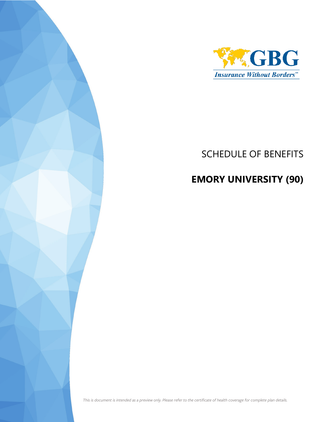

## SCHEDULE OF BENEFITS

# **EMORY UNIVERSITY (90)**

*This is document is intended as a preview only. Please refer to the certificate of health coverage for complete plan details.*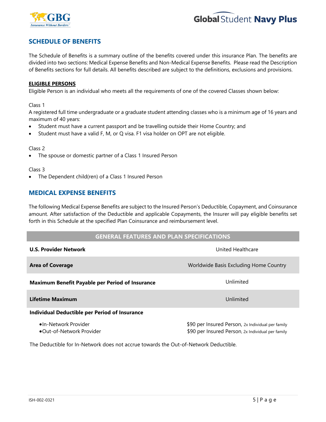



## **SCHEDULE OF BENEFITS**

The Schedule of Benefits is a summary outline of the benefits covered under this insurance Plan. The benefits are divided into two sections: Medical Expense Benefits and Non-Medical Expense Benefits. Please read the Description of Benefits sections for full details. All benefits described are subject to the definitions, exclusions and provisions.

### **ELIGIBLE PERSONS**

Eligible Person is an individual who meets all the requirements of one of the covered Classes shown below:

Class 1

A registered full time undergraduate or a graduate student attending classes who is a minimum age of 16 years and maximum of 40 years:

- Student must have a current passport and be travelling outside their Home Country; and
- Student must have a valid F, M, or Q visa. F1 visa holder on OPT are not eligible.

#### Class 2

The spouse or domestic partner of a Class 1 Insured Person

#### Class 3

The Dependent child(ren) of a Class 1 Insured Person

## **MEDICAL EXPENSE BENEFITS**

The following Medical Expense Benefits are subject to the Insured Person's Deductible, Copayment, and Coinsurance amount. After satisfaction of the Deductible and applicable Copayments, the Insurer will pay eligible benefits set forth in this Schedule at the specified Plan Coinsurance and reimbursement level.

### **GENERAL FEATURES AND PLAN SPECIFICATIONS**

| <b>U.S. Provider Network</b>                           | United Healthcare                                                                                      |
|--------------------------------------------------------|--------------------------------------------------------------------------------------------------------|
| <b>Area of Coverage</b>                                | Worldwide Basis Excluding Home Country                                                                 |
| <b>Maximum Benefit Payable per Period of Insurance</b> | Unlimited                                                                                              |
| Lifetime Maximum                                       | Unlimited                                                                                              |
| <b>Individual Deductible per Period of Insurance</b>   |                                                                                                        |
| •In-Network Provider<br>•Out-of-Network Provider       | \$90 per Insured Person, 2x Individual per family<br>\$90 per Insured Person, 2x Individual per family |

The Deductible for In-Network does not accrue towards the Out-of-Network Deductible.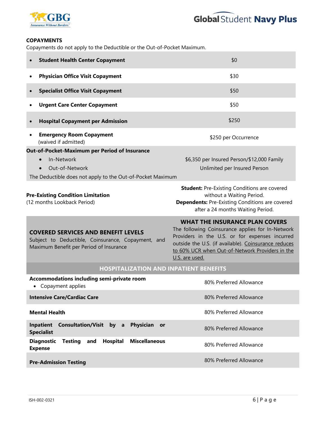



### **COPAYMENTS**

Copayments do not apply to the Deductible or the Out-of-Pocket Maximum.

| <b>Student Health Center Copayment</b>                                                                                                                   | \$0                                                                                                                                                                                                                                                                      |  |
|----------------------------------------------------------------------------------------------------------------------------------------------------------|--------------------------------------------------------------------------------------------------------------------------------------------------------------------------------------------------------------------------------------------------------------------------|--|
| <b>Physician Office Visit Copayment</b>                                                                                                                  | \$30                                                                                                                                                                                                                                                                     |  |
| <b>Specialist Office Visit Copayment</b><br>$\bullet$                                                                                                    | \$50                                                                                                                                                                                                                                                                     |  |
| <b>Urgent Care Center Copayment</b>                                                                                                                      | \$50                                                                                                                                                                                                                                                                     |  |
| <b>Hospital Copayment per Admission</b>                                                                                                                  | \$250                                                                                                                                                                                                                                                                    |  |
| <b>Emergency Room Copayment</b><br>(waived if admitted)                                                                                                  | \$250 per Occurrence                                                                                                                                                                                                                                                     |  |
| Out-of-Pocket-Maximum per Period of Insurance<br>In-Network<br>Out-of-Network<br>$\bullet$<br>The Deductible does not apply to the Out-of-Pocket Maximum | \$6,350 per Insured Person/\$12,000 Family<br>Unlimited per Insured Person                                                                                                                                                                                               |  |
| <b>Pre-Existing Condition Limitation</b><br>(12 months Lookback Period)                                                                                  | <b>Student:</b> Pre-Existing Conditions are covered<br>without a Waiting Period.<br><b>Dependents:</b> Pre-Existing Conditions are covered<br>after a 24 months Waiting Period.                                                                                          |  |
| <b>COVERED SERVICES AND BENEFIT LEVELS</b><br>Subject to Deductible, Coinsurance, Copayment, and<br>Maximum Benefit per Period of Insurance              | <b>WHAT THE INSURANCE PLAN COVERS</b><br>The following Coinsurance applies for In-Network<br>Providers in the U.S. or for expenses incurred<br>outside the U.S. (if available). Coinsurance reduces<br>to 60% UCR when Out-of-Network Providers in the<br>U.S. are used. |  |
| <b>HOSPITALIZATION AND INPATIENT BENEFITS</b>                                                                                                            |                                                                                                                                                                                                                                                                          |  |
| Accommodations including semi-private room<br>Copayment applies<br>٠                                                                                     | 80% Preferred Allowance                                                                                                                                                                                                                                                  |  |
| <b>Intensive Care/Cardiac Care</b>                                                                                                                       | 80% Preferred Allowance                                                                                                                                                                                                                                                  |  |
| <b>Mental Health</b>                                                                                                                                     | 80% Preferred Allowance                                                                                                                                                                                                                                                  |  |
| <b>Consultation/Visit by a</b><br><b>Inpatient</b><br><b>Physician</b><br>or<br><b>Specialist</b>                                                        | 80% Preferred Allowance                                                                                                                                                                                                                                                  |  |
| <b>Diagnostic</b><br>Hospital<br><b>Miscellaneous</b><br><b>Testing</b><br>and<br><b>Expense</b>                                                         | 80% Preferred Allowance                                                                                                                                                                                                                                                  |  |
| <b>Pre-Admission Testing</b>                                                                                                                             | 80% Preferred Allowance                                                                                                                                                                                                                                                  |  |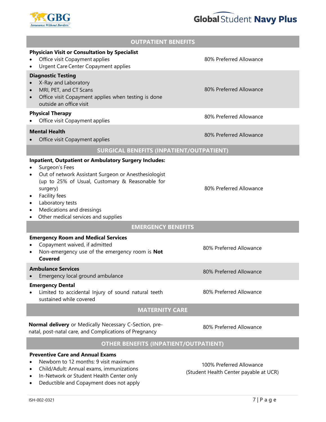



| <b>OUTPATIENT BENEFITS</b>                                                                                                                                                                                                                                                                                               |                         |  |
|--------------------------------------------------------------------------------------------------------------------------------------------------------------------------------------------------------------------------------------------------------------------------------------------------------------------------|-------------------------|--|
| <b>Physician Visit or Consultation by Specialist</b><br>Office visit Copayment applies<br><b>Urgent Care Center Copayment applies</b>                                                                                                                                                                                    | 80% Preferred Allowance |  |
| <b>Diagnostic Testing</b><br>X-Ray and Laboratory<br>MRI, PET, and CT Scans<br>Office visit Copayment applies when testing is done<br>$\bullet$<br>outside an office visit                                                                                                                                               | 80% Preferred Allowance |  |
| <b>Physical Therapy</b><br>Office visit Copayment applies                                                                                                                                                                                                                                                                | 80% Preferred Allowance |  |
| <b>Mental Health</b><br>Office visit Copayment applies                                                                                                                                                                                                                                                                   | 80% Preferred Allowance |  |
| <b>SURGICAL BENEFITS (INPATIENT/OUTPATIENT)</b>                                                                                                                                                                                                                                                                          |                         |  |
| <b>Inpatient, Outpatient or Ambulatory Surgery Includes:</b><br>Surgeon's Fees<br>Out of network Assistant Surgeon or Anesthesiologist<br>٠<br>(up to 25% of Usual, Customary & Reasonable for<br>surgery)<br>Facility fees<br>Laboratory tests<br>Medications and dressings<br>Other medical services and supplies<br>٠ | 80% Preferred Allowance |  |
| <b>EMERGENCY BENEFITS</b>                                                                                                                                                                                                                                                                                                |                         |  |
| <b>Emergency Room and Medical Services</b><br>Copayment waived, if admitted<br>Non-emergency use of the emergency room is Not<br><b>Covered</b>                                                                                                                                                                          | 80% Preferred Allowance |  |
| <b>Ambulance Services</b><br>Emergency local ground ambulance                                                                                                                                                                                                                                                            | 80% Preferred Allowance |  |
| <b>Emergency Dental</b><br>Limited to accidental Injury of sound natural teeth<br>sustained while covered                                                                                                                                                                                                                | 80% Preferred Allowance |  |
| <b>MATERNITY CARE</b>                                                                                                                                                                                                                                                                                                    |                         |  |
| Normal delivery or Medically Necessary C-Section, pre-<br>natal, post-natal care, and Complications of Pregnancy                                                                                                                                                                                                         | 80% Preferred Allowance |  |
| <b>OTHER BENEFITS (INPATIENT/OUTPATIENT)</b>                                                                                                                                                                                                                                                                             |                         |  |
| <b>Preventive Care and Annual Exams</b><br>Newhorn to 12 months: 9 visit maximum                                                                                                                                                                                                                                         |                         |  |

- Newborn to 12 months: 9 visit maximum
- Child/Adult: Annual exams, immunizations
- In-Network or Student Health Center only
- Deductible and Copayment does not apply

100% Preferred Allowance (Student Health Center payable at UCR)